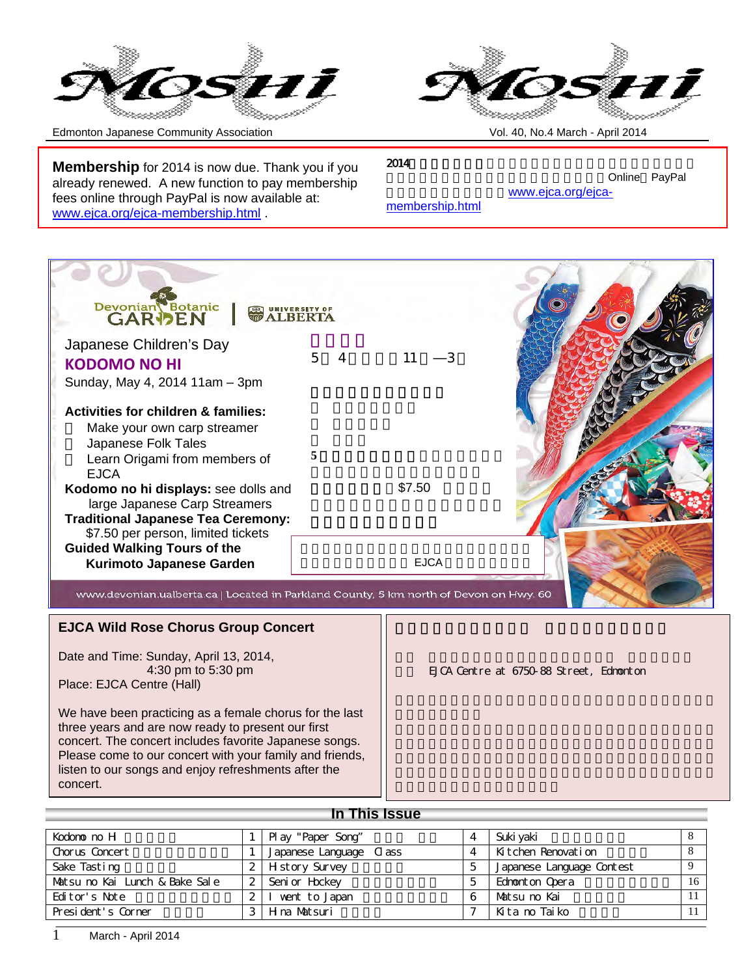



Edmonton Japanese Community Association Vol. 40, No.4 March - April 2014

**Membership** for 2014 is now due. Thank you if you already renewed. A new function to pay membership fees online through PayPal is now available at: www.ejca.org/ejca-membership.html .

 $2014$ 

٦

Online PayPal www.ejca.org/ejca-

membership.html



www.devonian.ualberta.ca | Located in Parkland County, 5 km north of Devon on Hwy. 60

#### **EJCA Wild Rose Chorus Group Concert**

Date and Time: Sunday, April 13, 2014, 4:30 pm to 5:30 pm Place: EJCA Centre (Hall)

We have been practicing as a female chorus for the last three years and are now ready to present our first concert. The concert includes favorite Japanese songs. Please come to our concert with your family and friends, listen to our songs and enjoy refreshments after the concert.

EJCA Centre at 6750-88 Street, Edmonton

### **In This Issue**

| Kodono no H                    | Pl ay "Paper Song"      | $\overline{4}$ | Suki vaki                 |    |
|--------------------------------|-------------------------|----------------|---------------------------|----|
| Chorus Concert                 | Japanese Language Class | $\overline{4}$ | Kitchen Renovation        |    |
| Sake Tasting                   | 2   H st or y Survey    | 5              | Japanese Language Contest |    |
| Matsu no Kai Lunch & Bake Sale | 2 Seni or Hockey        | 5              | Ednomt on Opera           | 16 |
| Editor's Note                  | went to Japan           | 6              | Matsu no Kai              |    |
| President's Corner             | 3 H ma Matsuri          |                | Kita no Taiko             |    |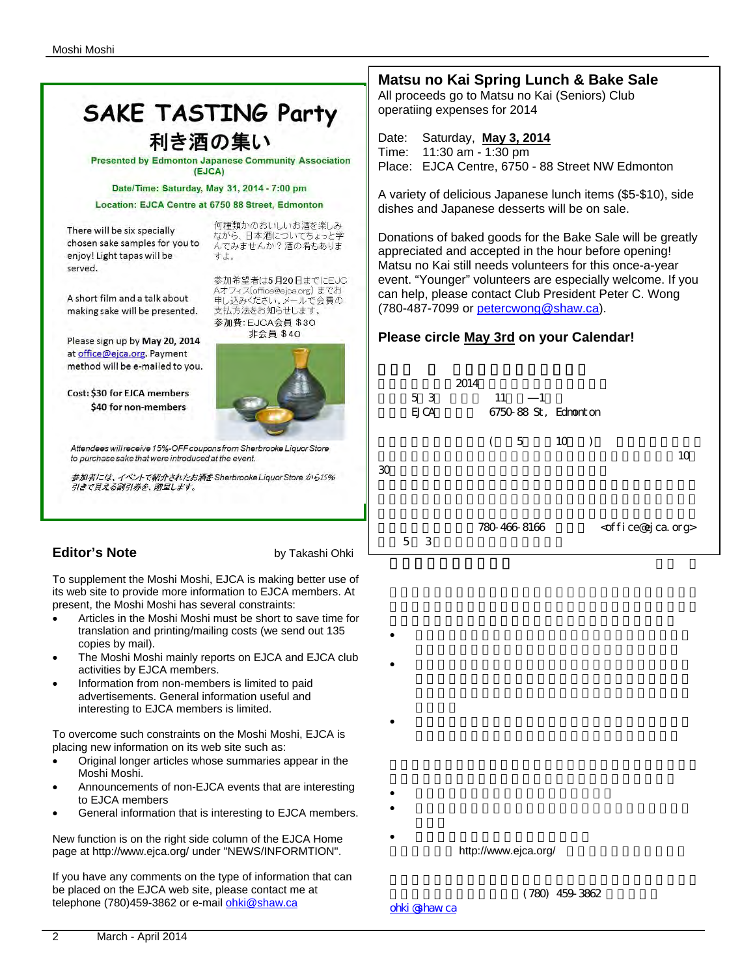# **SAKE TASTING Party** 利き酒の集い

**Presented by Edmonton Japanese Community Association** (EJCA)

#### Date/Time: Saturday, May 31, 2014 - 7:00 pm

Location: EJCA Centre at 6750 88 Street, Edmonton

There will be six specially chosen sake samples for you to enjoy! Light tapas will be served.

何種類かのおいしいお酒を楽しみ - 1.星※☆ ジジャンプンによっと学<br>ながら、日本酒についてちょっと学 んでみませんか?酒の肴もありま すよ。

参加希望者は5月20日までにEJC Aオフィス(office@ejca.org) までお

申し込みください。メールで会費の

支払方法をお知らせします。

A short film and a talk about making sake will be presented.

Please sign up by May 20, 2014 at office@ejca.org. Payment method will be e-mailed to you.

Cost: \$30 for EJCA members \$40 for non-members



Attendees will receive 15%-OFF coupons from Sherbrooke Liquor Store to purchase sake that were introduced at the event.

参加者には、イベントで紹介されたお酒をSherbrooke Liquor Store から15% 引きで買える割引券を、贈呈します。

## **Editor's Note** by Takashi Ohki

To supplement the Moshi Moshi, EJCA is making better use of its web site to provide more information to EJCA members. At present, the Moshi Moshi has several constraints:

- Articles in the Moshi Moshi must be short to save time for translation and printing/mailing costs (we send out 135 copies by mail).
- The Moshi Moshi mainly reports on EJCA and EJCA club activities by EJCA members.
- Information from non-members is limited to paid advertisements. General information useful and interesting to EJCA members is limited.

To overcome such constraints on the Moshi Moshi, EJCA is placing new information on its web site such as:

- Original longer articles whose summaries appear in the Moshi Moshi.
- Announcements of non-EJCA events that are interesting to EJCA members
- General information that is interesting to EJCA members.

New function is on the right side column of the EJCA Home page at http://www.ejca.org/ under "NEWS/INFORMTION".

If you have any comments on the type of information that can be placed on the EJCA web site, please contact me at telephone (780)459-3862 or e-mail ohki@shaw.ca

# **Matsu no Kai Spring Lunch & Bake Sale**

All proceeds go to Matsu no Kai (Seniors) Club operatiing expenses for 2014

Date: Saturday, **May 3, 2014**

Time: 11:30 am - 1:30 pm Place: EJCA Centre, 6750 - 88 Street NW Edmonton

A variety of delicious Japanese lunch items (\$5-\$10), side dishes and Japanese desserts will be on sale.

Donations of baked goods for the Bake Sale will be greatly appreciated and accepted in the hour before opening! Matsu no Kai still needs volunteers for this once-a-year event. "Younger" volunteers are especially welcome. If you can help, please contact Club President Peter C. Wong (780-487-7099 or petercwong@shaw.ca).

#### **Please circle May 3rd on your Calendar!**

|    |   | 5 3<br><b>EJCA</b> | 2014 | 11 | 1<br>6750-88 St, Edmonton |                 |           |                                     |    |
|----|---|--------------------|------|----|---------------------------|-----------------|-----------|-------------------------------------|----|
| 30 |   |                    |      | (  | 5                         | 10 <sup>1</sup> | $\bigcup$ |                                     | 10 |
|    | 5 | 3                  |      |    | 780-466-8166              |                 |           | <office@ejca.org></office@ejca.org> |    |

- $\bullet$
- こうしょう EJCAともの にっぽん EJCAとも
- $\bullet$
- 
- **The United States of the United States of the United States of the United States of the United States of the U** • EJCA に関する情報でEJCAとしても特徴では、これに関する情報でEJCAを見る情報では、これに関する情報では、これに関する情報では、これに関する情報では
- $\blacksquare$

http://www.ejca.org/

 $(780)$  459-3862

ohki @haw.ca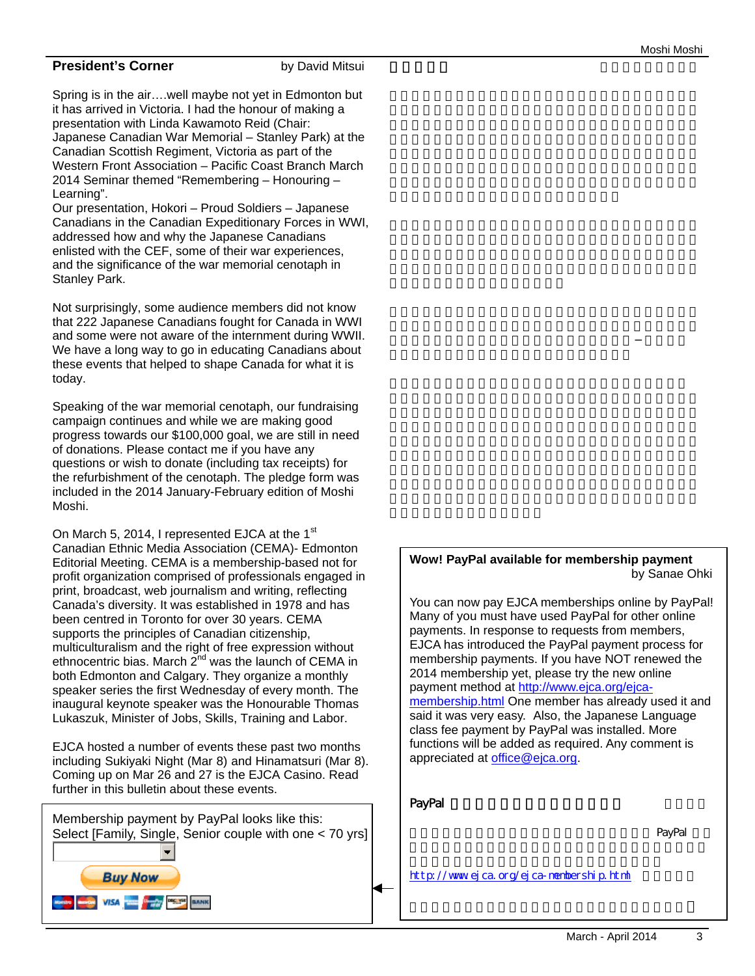#### **President's Corner** by David Mitsui

Spring is in the air….well maybe not yet in Edmonton but it has arrived in Victoria. I had the honour of making a presentation with Linda Kawamoto Reid (Chair: Japanese Canadian War Memorial – Stanley Park) at the Canadian Scottish Regiment, Victoria as part of the Western Front Association – Pacific Coast Branch March 2014 Seminar themed "Remembering – Honouring – Learning".

Our presentation, Hokori – Proud Soldiers – Japanese Canadians in the Canadian Expeditionary Forces in WWI, addressed how and why the Japanese Canadians enlisted with the CEF, some of their war experiences, and the significance of the war memorial cenotaph in Stanley Park.

Not surprisingly, some audience members did not know that 222 Japanese Canadians fought for Canada in WWI and some were not aware of the internment during WWII. We have a long way to go in educating Canadians about these events that helped to shape Canada for what it is today.

Speaking of the war memorial cenotaph, our fundraising campaign continues and while we are making good progress towards our \$100,000 goal, we are still in need of donations. Please contact me if you have any questions or wish to donate (including tax receipts) for the refurbishment of the cenotaph. The pledge form was included in the 2014 January-February edition of Moshi Moshi.

On March 5, 2014, I represented EJCA at the 1st Canadian Ethnic Media Association (CEMA)- Edmonton Editorial Meeting. CEMA is a membership-based not for profit organization comprised of professionals engaged in print, broadcast, web journalism and writing, reflecting Canada's diversity. It was established in 1978 and has been centred in Toronto for over 30 years. CEMA supports the principles of Canadian citizenship, multiculturalism and the right of free expression without ethnocentric bias. March  $2^{nd}$  was the launch of CEMA in both Edmonton and Calgary. They organize a monthly speaker series the first Wednesday of every month. The inaugural keynote speaker was the Honourable Thomas Lukaszuk, Minister of Jobs, Skills, Training and Labor.

EJCA hosted a number of events these past two months including Sukiyaki Night (Mar 8) and Hinamatsuri (Mar 8). Coming up on Mar 26 and 27 is the EJCA Casino. Read further in this bulletin about these events.

Membership payment by PayPal looks like this: Select [Family, Single, Senior couple with one < 70 yrs] **Buy Now** 

**WARD VISA THE DESIGN BRANK** 

#### **Wow! PayPal available for membership payment** by Sanae Ohki

You can now pay EJCA memberships online by PayPal! Many of you must have used PayPal for other online payments. In response to requests from members, EJCA has introduced the PayPal payment process for membership payments. If you have NOT renewed the 2014 membership yet, please try the new online payment method at http://www.ejca.org/ejcamembership.html One member has already used it and said it was very easy. Also, the Japanese Language class fee payment by PayPal was installed. More functions will be added as required. Any comment is appreciated at office@ejca.org.

#### PayPal  $\blacksquare$

会員の皆様の要請に応えて、EJCAの年会費が PayPal を使

http://www.ejca.org/ejca-membership.html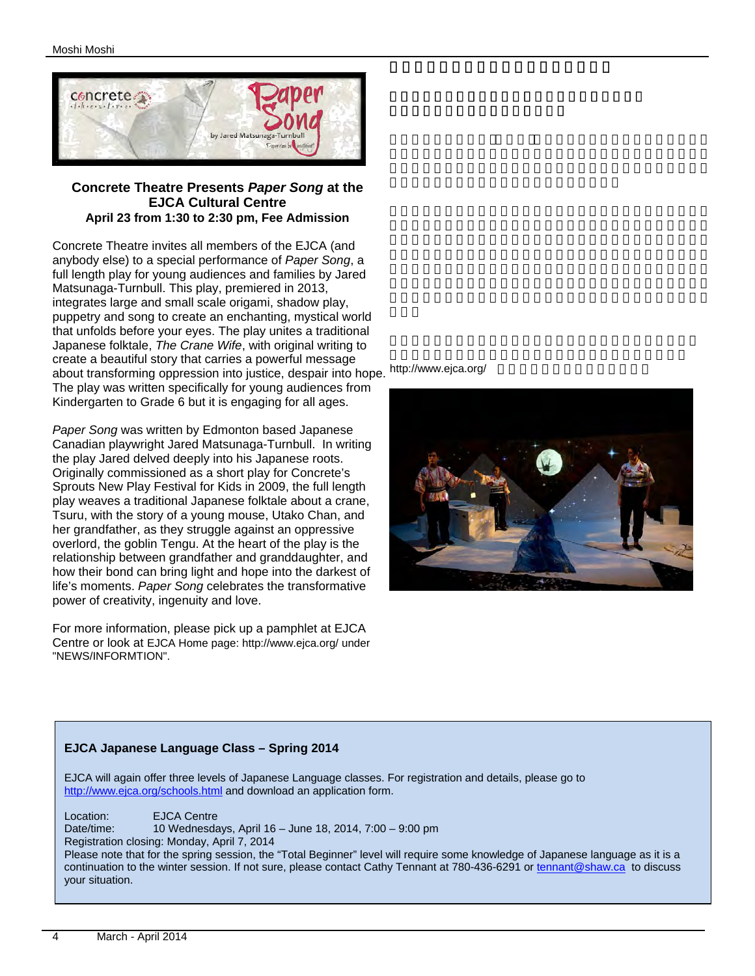

#### **Concrete Theatre Presents** *Paper Song* **at the EJCA Cultural Centre April 23 from 1:30 to 2:30 pm, Fee Admission**

Concrete Theatre invites all members of the EJCA (and anybody else) to a special performance of *Paper Song*, a full length play for young audiences and families by Jared Matsunaga-Turnbull. This play, premiered in 2013, integrates large and small scale origami, shadow play, puppetry and song to create an enchanting, mystical world that unfolds before your eyes. The play unites a traditional Japanese folktale, *The Crane Wife*, with original writing to create a beautiful story that carries a powerful message about transforming oppression into justice, despair into hope. http://www.ejca.org/ The play was written specifically for young audiences from Kindergarten to Grade 6 but it is engaging for all ages.

*Paper Song* was written by Edmonton based Japanese Canadian playwright Jared Matsunaga-Turnbull. In writing the play Jared delved deeply into his Japanese roots. Originally commissioned as a short play for Concrete's Sprouts New Play Festival for Kids in 2009, the full length play weaves a traditional Japanese folktale about a crane, Tsuru, with the story of a young mouse, Utako Chan, and her grandfather, as they struggle against an oppressive overlord, the goblin Tengu. At the heart of the play is the relationship between grandfather and granddaughter, and how their bond can bring light and hope into the darkest of life's moments. *Paper Song* celebrates the transformative power of creativity, ingenuity and love.

For more information, please pick up a pamphlet at EJCA Centre or look at EJCA Home page: http://www.ejca.org/ under "NEWS/INFORMTION".



#### **EJCA Japanese Language Class – Spring 2014**

EJCA will again offer three levels of Japanese Language classes. For registration and details, please go to http://www.ejca.org/schools.html and download an application form.

Location: EJCA Centre Date/time: 10 Wednesdays, April 16 – June 18, 2014, 7:00 – 9:00 pm Registration closing: Monday, April 7, 2014 Please note that for the spring session, the "Total Beginner" level will require some knowledge of Japanese language as it is a continuation to the winter session. If not sure, please contact Cathy Tennant at 780-436-6291 or tennant@shaw.ca to discuss your situation.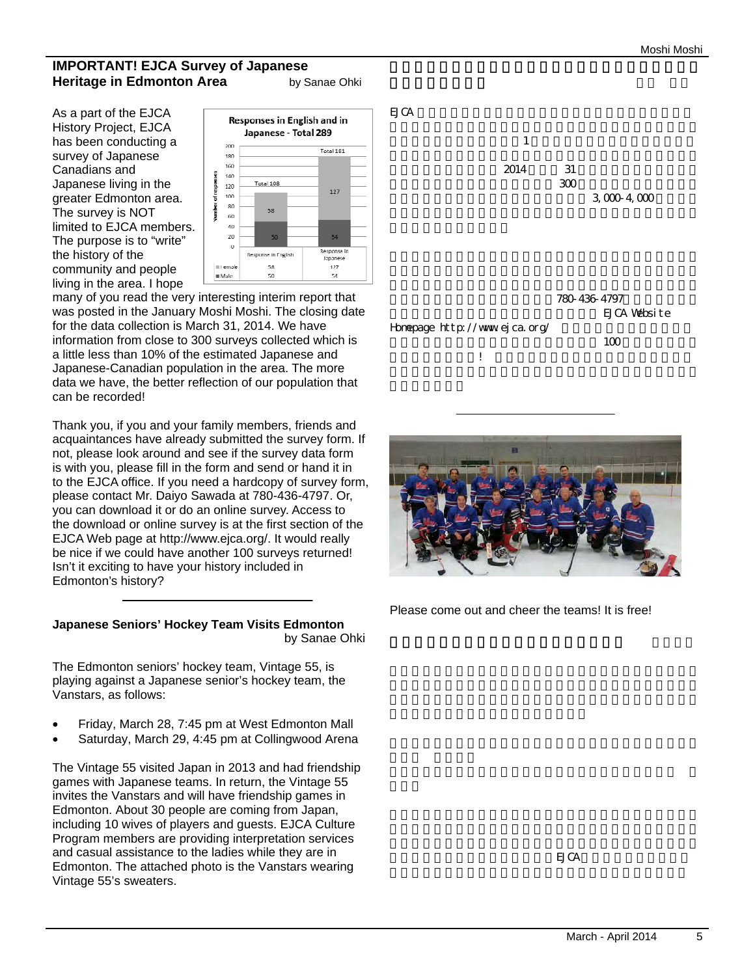#### **IMPORTANT! EJCA Survey of Japanese Heritage in Edmonton Area by Sanae Ohki**

As a part of the EJCA History Project, EJCA has been conducting a survey of Japanese Canadians and Japanese living in the greater Edmonton area. The survey is NOT limited to EJCA members. The purpose is to "write" the history of the community and people living in the area. I hope



many of you read the very interesting interim report that was posted in the January Moshi Moshi. The closing date for the data collection is March 31, 2014. We have information from close to 300 surveys collected which is a little less than 10% of the estimated Japanese and Japanese-Canadian population in the area. The more data we have, the better reflection of our population that can be recorded!

Thank you, if you and your family members, friends and acquaintances have already submitted the survey form. If not, please look around and see if the survey data form is with you, please fill in the form and send or hand it in to the EJCA office. If you need a hardcopy of survey form, please contact Mr. Daiyo Sawada at 780-436-4797. Or, you can download it or do an online survey. Access to the download or online survey is at the first section of the EJCA Web page at http://www.ejca.org/. It would really be nice if we could have another 100 surveys returned! Isn't it exciting to have your history included in Edmonton's history?

#### **Japanese Seniors' Hockey Team Visits Edmonton** by Sanae Ohki

The Edmonton seniors' hockey team, Vintage 55, is playing against a Japanese senior's hockey team, the Vanstars, as follows:

- Friday, March 28, 7:45 pm at West Edmonton Mall
- Saturday, March 29, 4:45 pm at Collingwood Arena

The Vintage 55 visited Japan in 2013 and had friendship games with Japanese teams. In return, the Vintage 55 invites the Vanstars and will have friendship games in Edmonton. About 30 people are coming from Japan, including 10 wives of players and guests. EJCA Culture Program members are providing interpretation services and casual assistance to the ladies while they are in Edmonton. The attached photo is the Vanstars wearing Vintage 55's sweaters.





Please come out and cheer the teams! It is free!

 $EJCA$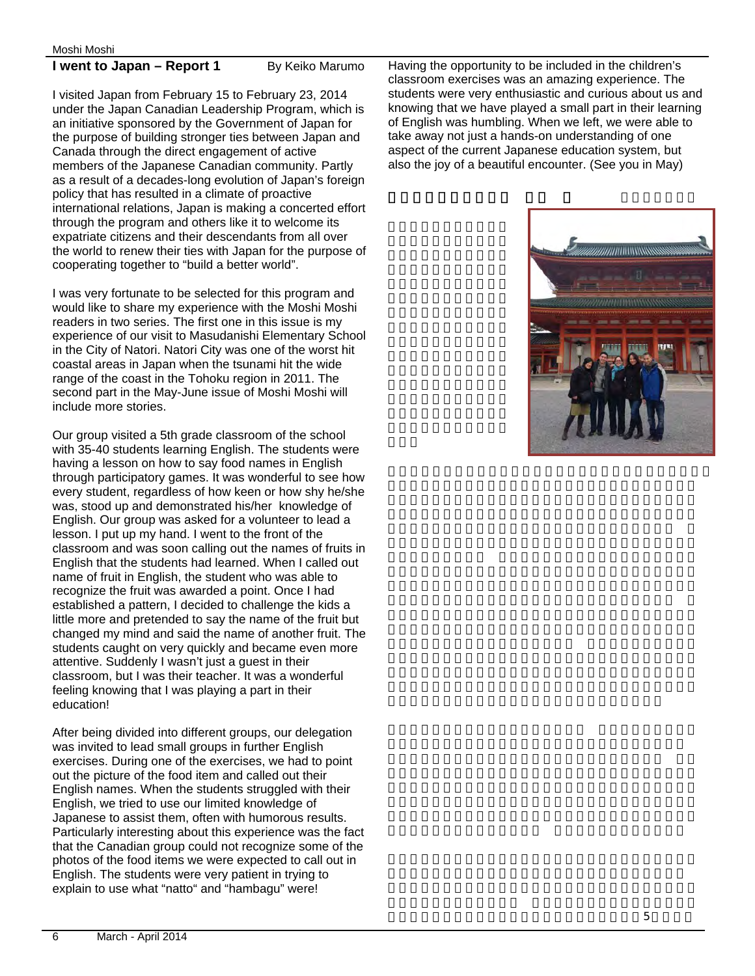#### **I went to Japan – Report 1** By Keiko Marumo

I visited Japan from February 15 to February 23, 2014 under the Japan Canadian Leadership Program, which is an initiative sponsored by the Government of Japan for the purpose of building stronger ties between Japan and Canada through the direct engagement of active members of the Japanese Canadian community. Partly as a result of a decades-long evolution of Japan's foreign policy that has resulted in a climate of proactive international relations, Japan is making a concerted effort through the program and others like it to welcome its expatriate citizens and their descendants from all over the world to renew their ties with Japan for the purpose of cooperating together to "build a better world".

I was very fortunate to be selected for this program and would like to share my experience with the Moshi Moshi readers in two series. The first one in this issue is my experience of our visit to Masudanishi Elementary School in the City of Natori. Natori City was one of the worst hit coastal areas in Japan when the tsunami hit the wide range of the coast in the Tohoku region in 2011. The second part in the May-June issue of Moshi Moshi will include more stories.

Our group visited a 5th grade classroom of the school with 35-40 students learning English. The students were having a lesson on how to say food names in English through participatory games. It was wonderful to see how every student, regardless of how keen or how shy he/she was, stood up and demonstrated his/her knowledge of English. Our group was asked for a volunteer to lead a lesson. I put up my hand. I went to the front of the classroom and was soon calling out the names of fruits in English that the students had learned. When I called out name of fruit in English, the student who was able to recognize the fruit was awarded a point. Once I had established a pattern, I decided to challenge the kids a little more and pretended to say the name of the fruit but changed my mind and said the name of another fruit. The students caught on very quickly and became even more attentive. Suddenly I wasn't just a guest in their classroom, but I was their teacher. It was a wonderful feeling knowing that I was playing a part in their education!

After being divided into different groups, our delegation was invited to lead small groups in further English exercises. During one of the exercises, we had to point out the picture of the food item and called out their English names. When the students struggled with their English, we tried to use our limited knowledge of Japanese to assist them, often with humorous results. Particularly interesting about this experience was the fact that the Canadian group could not recognize some of the photos of the food items we were expected to call out in English. The students were very patient in trying to explain to use what "natto" and "hambagu" were!

Having the opportunity to be included in the children's classroom exercises was an amazing experience. The students were very enthusiastic and curious about us and knowing that we have played a small part in their learning of English was humbling. When we left, we were able to take away not just a hands-on understanding of one aspect of the current Japanese education system, but also the joy of a beautiful encounter. (See you in May)

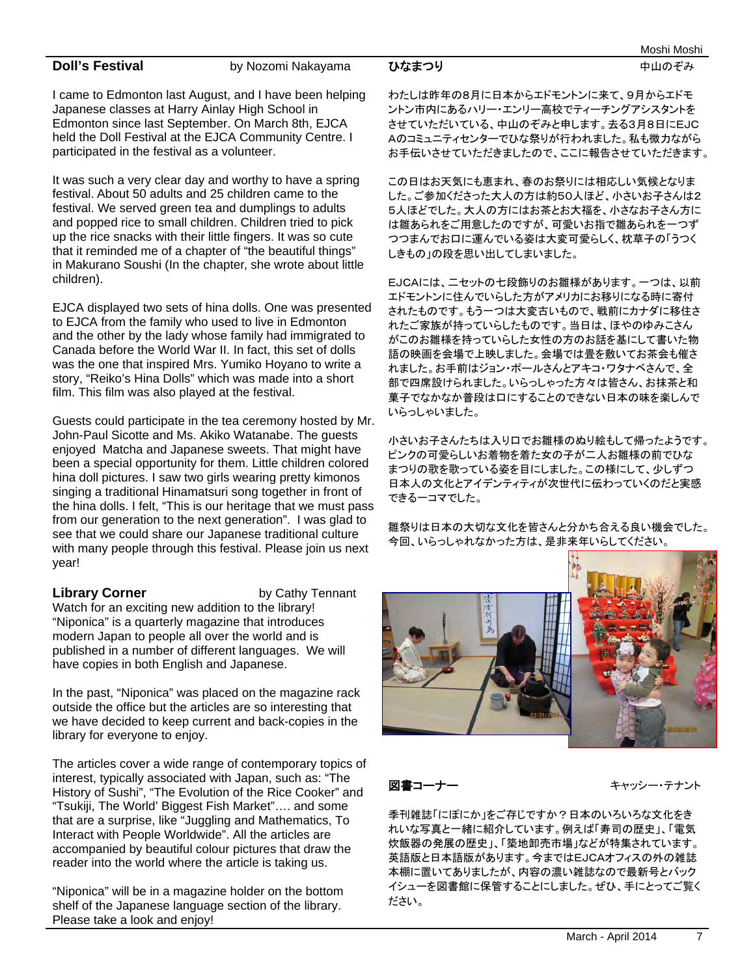**Doll's Festival** by Nozomi Nakayama

I came to Edmonton last August, and I have been helping Japanese classes at Harry Ainlay High School in Edmonton since last September. On March 8th, EJCA held the Doll Festival at the EJCA Community Centre. I participated in the festival as a volunteer.

It was such a very clear day and worthy to have a spring festival. About 50 adults and 25 children came to the festival. We served green tea and dumplings to adults and popped rice to small children. Children tried to pick up the rice snacks with their little fingers. It was so cute that it reminded me of a chapter of "the beautiful things" in Makurano Soushi (In the chapter, she wrote about little children).

EJCA displayed two sets of hina dolls. One was presented to EJCA from the family who used to live in Edmonton and the other by the lady whose family had immigrated to Canada before the World War II. In fact, this set of dolls was the one that inspired Mrs. Yumiko Hoyano to write a story, "Reiko's Hina Dolls" which was made into a short film. This film was also played at the festival.

Guests could participate in the tea ceremony hosted by Mr. John-Paul Sicotte and Ms. Akiko Watanabe. The guests enjoyed Matcha and Japanese sweets. That might have been a special opportunity for them. Little children colored hina doll pictures. I saw two girls wearing pretty kimonos singing a traditional Hinamatsuri song together in front of the hina dolls. I felt, "This is our heritage that we must pass from our generation to the next generation". I was glad to see that we could share our Japanese traditional culture with many people through this festival. Please join us next year!

**Library Corner** by Cathy Tennant Watch for an exciting new addition to the library! "Niponica" is a quarterly magazine that introduces modern Japan to people all over the world and is published in a number of different languages. We will have copies in both English and Japanese.

In the past, "Niponica" was placed on the magazine rack outside the office but the articles are so interesting that we have decided to keep current and back-copies in the library for everyone to enjoy.

The articles cover a wide range of contemporary topics of interest, typically associated with Japan, such as: "The History of Sushi", "The Evolution of the Rice Cooker" and "Tsukiji, The World' Biggest Fish Market"…. and some that are a surprise, like "Juggling and Mathematics, To Interact with People Worldwide". All the articles are accompanied by beautiful colour pictures that draw the reader into the world where the article is taking us.

"Niponica" will be in a magazine holder on the bottom shelf of the Japanese language section of the library. Please take a look and enjoy!

わたしは昨年の8月に日本からエドモントンに来て、9月からエドモ ントン市内にあるハリー・エンリー高校でティーチングアシスタントを させていただいている、中山のぞみと申します。去る3月8日にEJC Aのコミュニティセンターでひな祭りが行われました。私も微力ながら お手伝いさせていただきましたので、ここに報告させていただきます。

ひなまつり ファイン アンファイン 中山のぞみ

この日はお天気にも恵まれ、春のお祭りには相応しい気候となりま した。ご参加くださった大人の方は約50人ほど、小さいお子さんは2 5人ほどでした。大人の方にはお茶とお大福を、小さなお子さん方に は雛あられをご用意したのですが、可愛いお指で雛あられを一つず つつまんでお口に運んでいる姿は大変可愛らしく、枕草子の「うつく しきもの」の段を思い出してしまいました。

EJCAには、二セットの七段飾りのお雛様があります。一つは、以前 エドモントンに住んでいらした方がアメリカにお移りになる時に寄付 されたものです。もう一つは大変古いもので、戦前にカナダに移住さ れたご家族が持っていらしたものです。当日は、ほやのゆみこさん がこのお雛様を持っていらした女性の方のお話を基にして書いた物 語の映画を会場で上映しました。会場では畳を敷いてお茶会も催さ れました。お手前はジョン・ポールさんとアキコ・ワタナベさんで、全 部で四席設けられました。いらっしゃった方々は皆さん、お抹茶と和 菓子でなかなか普段は口にすることのできない日本の味を楽しんで いらっしゃいました。

小さいお子さんたちは入り口でお雛様のぬり絵もして帰ったようです。 ピンクの可愛らしいお着物を着た女の子が二人お雛様の前でひな まつりの歌を歌っている姿を目にしました。この様にして、少しずつ 日本人の文化とアイデンティティが次世代に伝わっていくのだと実感 できる一コマでした。

雛祭りは日本の大切な文化を皆さんと分かち合える良い機会でした。 今回、いらっしゃれなかった方は、是非来年いらしてください。



図書コーナー キャッシー・テナント

季刊雑誌「にぽにか」をご存じですか?日本のいろいろな文化をき れいな写真と一緒に紹介しています。例えば「寿司の歴史」、「電気 炊飯器の発展の歴史」、「築地卸売市場」などが特集されています。 英語版と日本語版があります。今まではEJCAオフィスの外の雑誌 本棚に置いてありましたが、内容の濃い雑誌なので最新号とバック イシューを図書館に保管することにしました。ぜひ、手にとってご覧く ださい。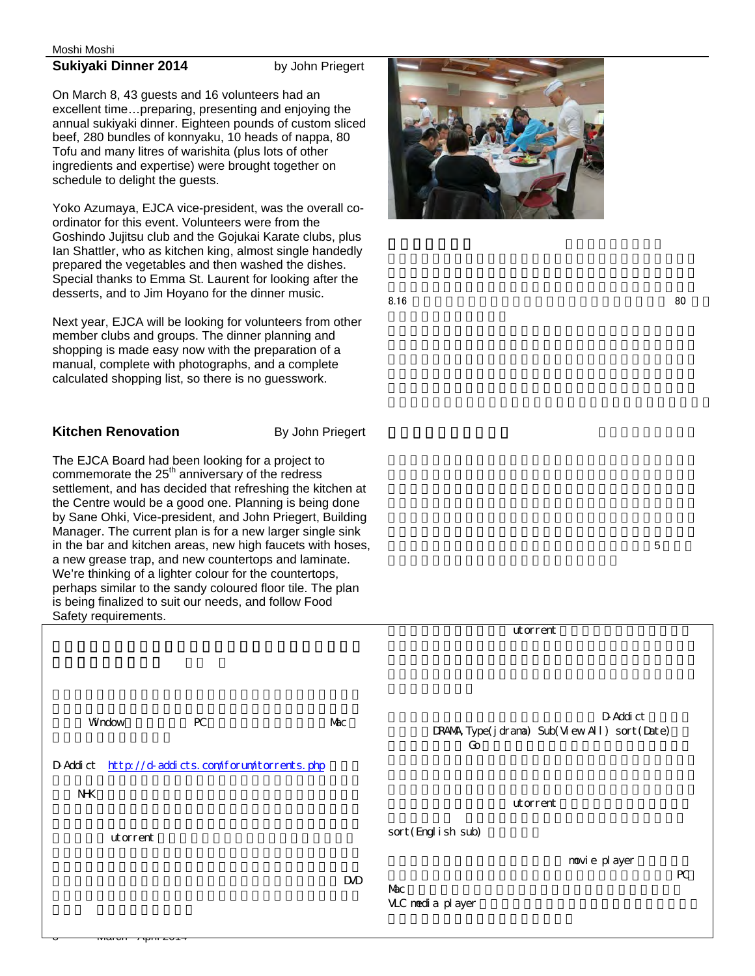#### **Sukiyaki Dinner 2014** by John Priegert

On March 8, 43 guests and 16 volunteers had an excellent time…preparing, presenting and enjoying the annual sukiyaki dinner. Eighteen pounds of custom sliced beef, 280 bundles of konnyaku, 10 heads of nappa, 80 Tofu and many litres of warishita (plus lots of other ingredients and expertise) were brought together on schedule to delight the guests.

Yoko Azumaya, EJCA vice-president, was the overall coordinator for this event. Volunteers were from the Goshindo Jujitsu club and the Gojukai Karate clubs, plus Ian Shattler, who as kitchen king, almost single handedly prepared the vegetables and then washed the dishes. Special thanks to Emma St. Laurent for looking after the desserts, and to Jim Hoyano for the dinner music.

Next year, EJCA will be looking for volunteers from other member clubs and groups. The dinner planning and shopping is made easy now with the preparation of a manual, complete with photographs, and a complete calculated shopping list, so there is no guesswork.

#### **Kitchen Renovation By John Priegert**

The EJCA Board had been looking for a project to commemorate the  $25<sup>th</sup>$  anniversary of the redress settlement, and has decided that refreshing the kitchen at the Centre would be a good one. Planning is being done by Sane Ohki, Vice-president, and John Priegert, Building Manager. The current plan is for a new larger single sink in the bar and kitchen areas, new high faucets with hoses, a new grease trap, and new countertops and laminate. We're thinking of a lighter colour for the countertops, perhaps similar to the sandy coloured floor tile. The plan is being finalized to suit our needs, and follow Food Safety requirements.



 $8.16$ 

 $5$ 

|    |            | utorrent                                                         |
|----|------------|------------------------------------------------------------------|
| PC | Mac        | D-Addi ct<br>DRANA, Type(j drama) Sub(View All) sort(Date)<br>Go |
|    |            |                                                                  |
|    |            | utorrent                                                         |
|    |            | sort (Engl i sh sub)                                             |
|    |            | novi e pl ayer                                                   |
|    | <b>DVD</b> | ${\sf PC}$<br>Mac<br>VLC nedi a pl ayer                          |
|    |            | http://d-addicts.com/forum/torrents.php                          |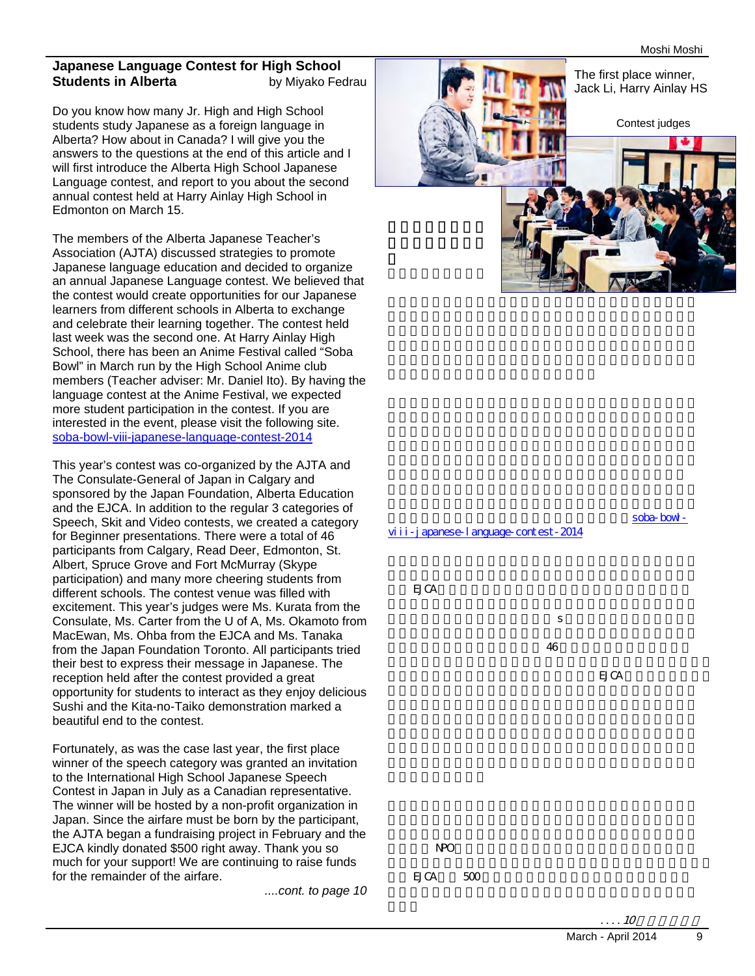#### **Japanese Language Contest for High School Students in Alberta** by Miyako Fedrau

Do you know how many Jr. High and High School students study Japanese as a foreign language in Alberta? How about in Canada? I will give you the answers to the questions at the end of this article and I will first introduce the Alberta High School Japanese Language contest, and report to you about the second annual contest held at Harry Ainlay High School in Edmonton on March 15.

The members of the Alberta Japanese Teacher's Association (AJTA) discussed strategies to promote Japanese language education and decided to organize an annual Japanese Language contest. We believed that the contest would create opportunities for our Japanese learners from different schools in Alberta to exchange and celebrate their learning together. The contest held last week was the second one. At Harry Ainlay High School, there has been an Anime Festival called "Soba Bowl" in March run by the High School Anime club members (Teacher adviser: Mr. Daniel Ito). By having the language contest at the Anime Festival, we expected more student participation in the contest. If you are interested in the event, please visit the following site. soba-bowl-viii-japanese-language-contest-2014

This year's contest was co-organized by the AJTA and The Consulate-General of Japan in Calgary and sponsored by the Japan Foundation, Alberta Education and the EJCA. In addition to the regular 3 categories of Speech, Skit and Video contests, we created a category for Beginner presentations. There were a total of 46 participants from Calgary, Read Deer, Edmonton, St. Albert, Spruce Grove and Fort McMurray (Skype participation) and many more cheering students from different schools. The contest venue was filled with excitement. This year's judges were Ms. Kurata from the Consulate, Ms. Carter from the U of A, Ms. Okamoto from MacEwan, Ms. Ohba from the EJCA and Ms. Tanaka from the Japan Foundation Toronto. All participants tried their best to express their message in Japanese. The reception held after the contest provided a great opportunity for students to interact as they enjoy delicious Sushi and the Kita-no-Taiko demonstration marked a beautiful end to the contest.

Fortunately, as was the case last year, the first place winner of the speech category was granted an invitation to the International High School Japanese Speech Contest in Japan in July as a Canadian representative. The winner will be hosted by a non-profit organization in Japan. Since the airfare must be born by the participant, the AJTA began a fundraising project in February and the EJCA kindly donated \$500 right away. Thank you so much for your support! We are continuing to raise funds for the remainder of the airfare.

 $\overline{\phantom{0}}$ 

*....cont. to page 10*





soba-bowl-

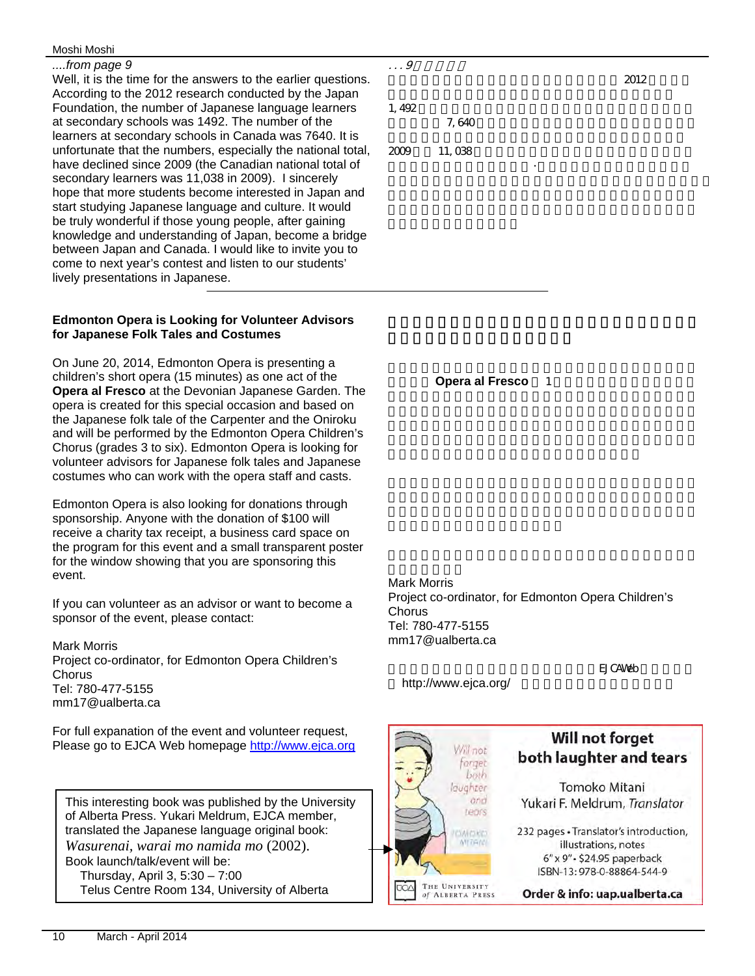#### *....from page 9*

Well, it is the time for the answers to the earlier questions. According to the 2012 research conducted by the Japan Foundation, the number of Japanese language learners at secondary schools was 1492. The number of the learners at secondary schools in Canada was 7640. It is unfortunate that the numbers, especially the national total, have declined since 2009 (the Canadian national total of secondary learners was 11,038 in 2009). I sincerely hope that more students become interested in Japan and start studying Japanese language and culture. It would be truly wonderful if those young people, after gaining knowledge and understanding of Japan, become a bridge between Japan and Canada. I would like to invite you to come to next year's contest and listen to our students' lively presentations in Japanese.

#### **Edmonton Opera is Looking for Volunteer Advisors for Japanese Folk Tales and Costumes**

On June 20, 2014, Edmonton Opera is presenting a children's short opera (15 minutes) as one act of the **Opera al Fresco** at the Devonian Japanese Garden. The opera is created for this special occasion and based on the Japanese folk tale of the Carpenter and the Oniroku and will be performed by the Edmonton Opera Children's Chorus (grades 3 to six). Edmonton Opera is looking for volunteer advisors for Japanese folk tales and Japanese costumes who can work with the opera staff and casts.

Edmonton Opera is also looking for donations through sponsorship. Anyone with the donation of \$100 will receive a charity tax receipt, a business card space on the program for this event and a small transparent poster for the window showing that you are sponsoring this event.

If you can volunteer as an advisor or want to become a sponsor of the event, please contact:

Mark Morris Project co-ordinator, for Edmonton Opera Children's Chorus Tel: 780-477-5155 mm17@ualberta.ca

For full expanation of the event and volunteer request, Please go to EJCA Web homepage http://www.ejca.org

This interesting book was published by the University of Alberta Press. Yukari Meldrum, EJCA member, translated the Japanese language original book: *Wasurenai, warai mo namida mo* (2002). Book launch/talk/event will be: Thursday, April 3, 5:30 – 7:00 Telus Centre Room 134, University of Alberta

 $\ldots$  9  $2012$ 

 $1,492$ 

**7,640**  $\overline{a}$ 

 $2009$   $11,038$ について しょうしょう きょうしょう

**Opera al Fresco** 1

Mark Morris Project co-ordinator, for Edmonton Opera Children's **Chorus** Tel: 780-477-5155 mm17@ualberta.ca

http://www.ejca.org/

Will not

of ALBERTA PRESS

forget

EJ CAV<sub>Eb</sub>

Will not forget

both laughter and tears



Order & info: uap.ualberta.ca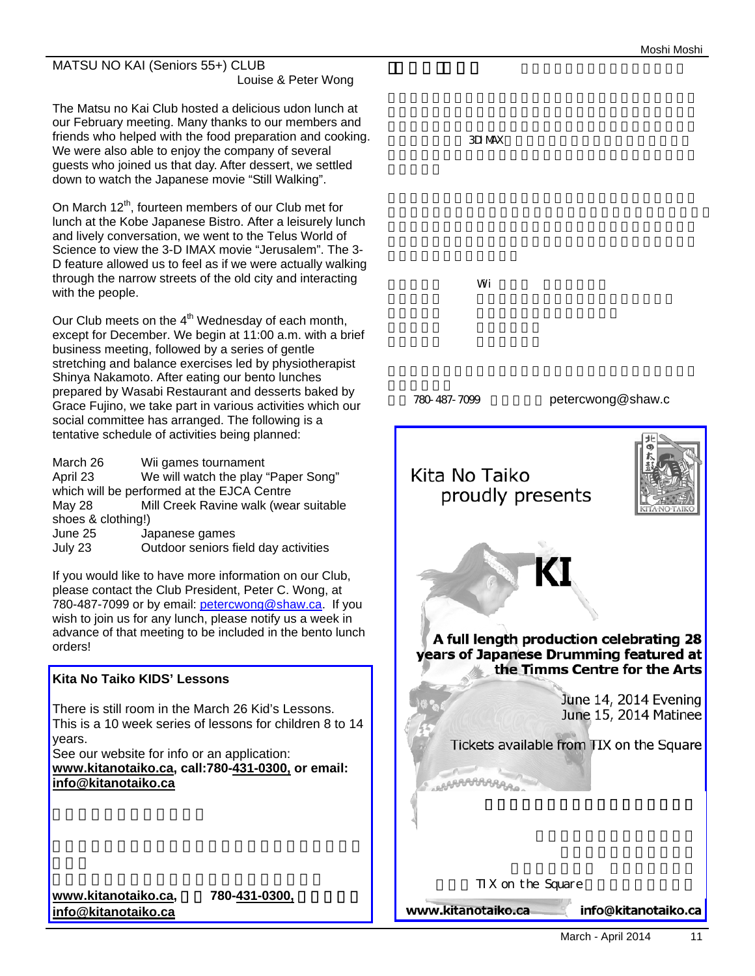#### MATSU NO KAI (Seniors 55+) CLUB Louise & Peter Wong

The Matsu no Kai Club hosted a delicious udon lunch at our February meeting. Many thanks to our members and friends who helped with the food preparation and cooking. We were also able to enjoy the company of several guests who joined us that day. After dessert, we settled down to watch the Japanese movie "Still Walking".

On March  $12<sup>th</sup>$ , fourteen members of our Club met for lunch at the Kobe Japanese Bistro. After a leisurely lunch and lively conversation, we went to the Telus World of Science to view the 3-D IMAX movie "Jerusalem". The 3- D feature allowed us to feel as if we were actually walking through the narrow streets of the old city and interacting with the people.

Our Club meets on the  $4<sup>th</sup>$  Wednesday of each month, except for December. We begin at 11:00 a.m. with a brief business meeting, followed by a series of gentle stretching and balance exercises led by physiotherapist Shinya Nakamoto. After eating our bento lunches prepared by Wasabi Restaurant and desserts baked by Grace Fujino, we take part in various activities which our social committee has arranged. The following is a tentative schedule of activities being planned:

March 26 Wii games tournament April 23 We will watch the play "Paper Song" which will be performed at the EJCA Centre May 28 Mill Creek Ravine walk (wear suitable shoes & clothing!) June 25 Japanese games July 23 Outdoor seniors field day activities

If you would like to have more information on our Club, please contact the Club President, Peter C. Wong, at 780-487-7099 or by email: petercwong@shaw.ca. If you wish to join us for any lunch, please notify us a week in advance of that meeting to be included in the bento lunch orders!

# **Kita No Taiko KIDS' Lessons**  There is still room in the March 26 Kid's Lessons. This is a 10 week series of lessons for children 8 to 14 years. See our website for info or an application: **www.kitanotaiko.ca, call:780-431-0300, or email:**

**info@kitanotaiko.ca**

www.kitanotaiko.ca, 780-431-0300, **info@kitanotaiko.ca**

 $3D$ IMAX  $\sim$ 

 $\mathsf{V}$ i  $\mathsf{V}$ i  $\mathsf{V}$ i  $\mathsf{V}$ i  $\mathsf{V}$ i  $\mathsf{V}$ i  $\mathsf{V}$ i  $\mathsf{V}$ i  $\mathsf{V}$ i  $\mathsf{V}$ i  $\mathsf{V}$ i  $\mathsf{V}$ i  $\mathsf{V}$ i  $\mathsf{V}$ i  $\mathsf{V}$ i  $\mathsf{V}$ i  $\mathsf{V}$ i  $\mathsf{V}$ i  $\mathsf{V}$ i  $\mathsf{V}$ i  $\mathsf{V}$ i  $\mathsf{V}$ i

780-487-7099 petercwong@shaw.c

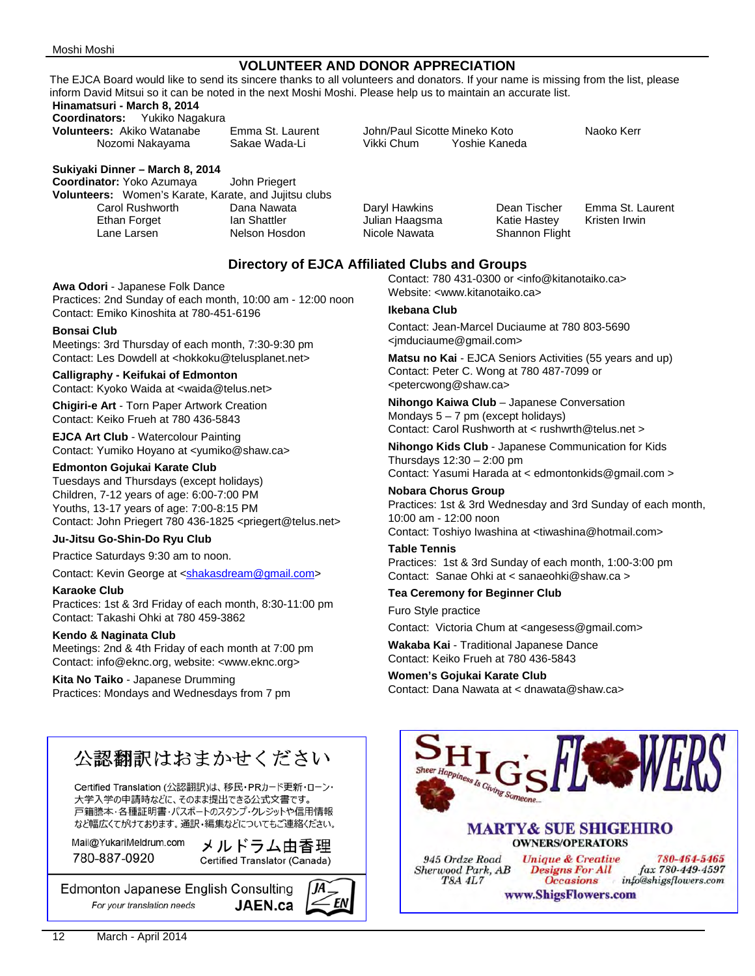#### **VOLUNTEER AND DONOR APPRECIATION**

The EJCA Board would like to send its sincere thanks to all volunteers and donators. If your name is missing from the list, please inform David Mitsui so it can be noted in the next Moshi Moshi. Please help us to maintain an accurate list.

### **Hinamatsuri - March 8, 2014**

**Coordinators:** Yukiko Nagakura<br>**Volunteers:** Akiko Watanabe

Nozomi Nakayama

#### **Sukiyaki Dinner – March 8, 2014**

**Coordinator:** Yoko Azumaya John Priegert **Volunteers:** Women's Karate, Karate, and Jujitsu clubs Carol Rushworth Dana Nawata Daryl HawkinsDean Tischer Emma St. Laurent Ethan Forget **Ian Shattler** Julian Haagsma Katie Hastey Kristen Irwin Lane Larsen Nelson Hosdon Nicole Nawata Shannon Flight

**Volunteers:** Akiko Watanabe Emma St. Laurent John/Paul Sicotte Mineko Koto Naoko Kerr

#### **Directory of EJCA Affiliated Clubs and Groups**

**Awa Odori** - Japanese Folk Dance Practices: 2nd Sunday of each month, 10:00 am - 12:00 noon Contact: Emiko Kinoshita at 780-451-6196

#### **Bonsai Club**

Meetings: 3rd Thursday of each month, 7:30-9:30 pm Contact: Les Dowdell at <hokkoku@telusplanet.net>

#### **Calligraphy - Keifukai of Edmonton**

Contact: Kyoko Waida at <waida@telus.net>

**Chigiri-e Art** - Torn Paper Artwork Creation Contact: Keiko Frueh at 780 436-5843

**EJCA Art Club** - Watercolour Painting Contact: Yumiko Hoyano at <yumiko@shaw.ca>

#### **Edmonton Gojukai Karate Club**

Tuesdays and Thursdays (except holidays) Children, 7-12 years of age: 6:00-7:00 PM Youths, 13-17 years of age: 7:00-8:15 PM Contact: John Priegert 780 436-1825 <priegert@telus.net>

#### **Ju-Jitsu Go-Shin-Do Ryu Club**

Practice Saturdays 9:30 am to noon.

#### Contact: Kevin George at <shakasdream@gmail.com>

**Karaoke Club** 

Practices: 1st & 3rd Friday of each month, 8:30-11:00 pm Contact: Takashi Ohki at 780 459-3862

#### **Kendo & Naginata Club**

Meetings: 2nd & 4th Friday of each month at 7:00 pm Contact: info@eknc.org, website: <www.eknc.org>

**Kita No Taiko** - Japanese Drumming Practices: Mondays and Wednesdays from 7 pm

# 公認翻訳はおまかせください

Certified Translation (公認翻訳)は、移民·PRカード更新·ローン· 大学入学の申請時などに、そのまま提出できる公式文書です。 戸籍謄本・各種証明書・パスポートのスタンプ・クレジットや信用情報 など幅広くてがけております。通訳・編集などについてもご連絡ください。

Mail@YukariMeldrum.com 780-887-0920

メルドラム由香理 Certified Translator (Canada)

**Edmonton Japanese English Consulting** For your translation needs **JAEN.ca**  Contact: 780 431-0300 or <info@kitanotaiko.ca> Website: <www.kitanotaiko.ca>

#### **Ikebana Club**

Contact: Jean-Marcel Duciaume at 780 803-5690 <jmduciaume@gmail.com>

**Matsu no Kai** - EJCA Seniors Activities (55 years and up) Contact: Peter C. Wong at 780 487-7099 or <petercwong@shaw.ca>

**Nihongo Kaiwa Club** – Japanese Conversation Mondays  $5 - 7$  pm (except holidays) Contact: Carol Rushworth at < rushwrth@telus.net >

**Nihongo Kids Club** - Japanese Communication for Kids Thursdays 12:30 – 2:00 pm

Contact: Yasumi Harada at < edmontonkids@gmail.com >

#### **Nobara Chorus Group**

Practices: 1st & 3rd Wednesday and 3rd Sunday of each month, 10:00 am - 12:00 noon Contact: Toshiyo Iwashina at <tiwashina@hotmail.com>

#### **Table Tennis**

Practices: 1st & 3rd Sunday of each month, 1:00-3:00 pm Contact: Sanae Ohki at < sanaeohki@shaw.ca >

#### **Tea Ceremony for Beginner Club**

Furo Style practice

Contact: Victoria Chum at <angesess@gmail.com>

**Wakaba Kai** - Traditional Japanese Dance Contact: Keiko Frueh at 780 436-5843

#### **Women's Gojukai Karate Club**  Contact: Dana Nawata at < dnawata@shaw.ca>

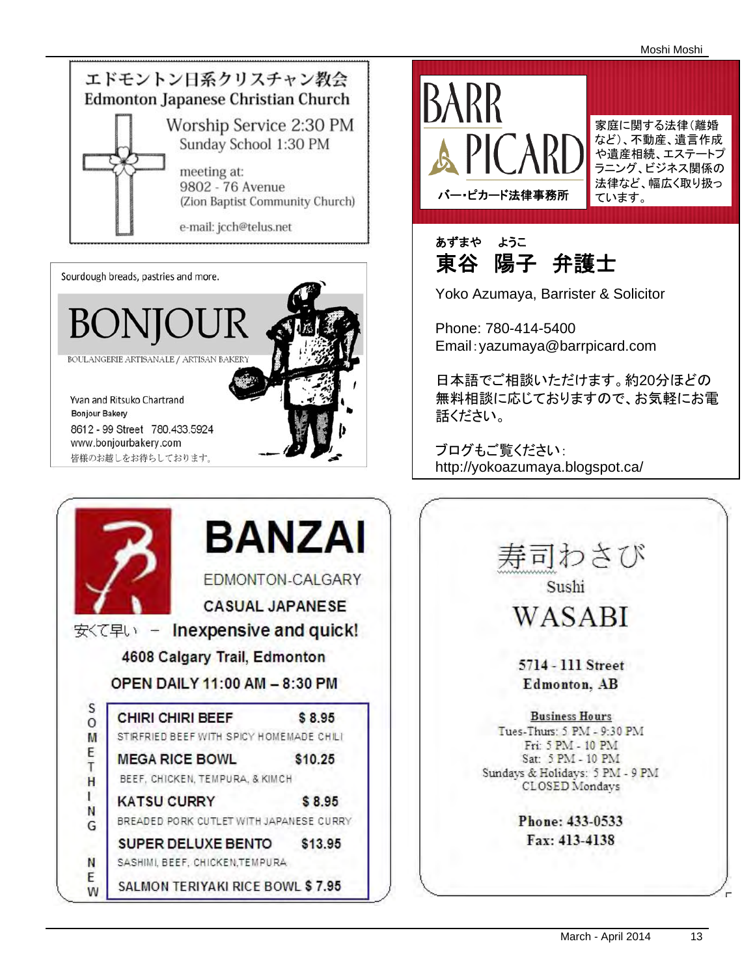

Sourdough breads, pastries and more.







あずまや ようこ 東谷 陽子 弁護士

Yoko Azumaya, Barrister & Solicitor

Phone: 780-414-5400 Email:yazumaya@barrpicard.com

日本語でご相談いただけます。約20分ほどの 無料相談に応じておりますので、お気軽にお電 話ください。

ブログもご覧ください: http://yokoazumaya.blogspot.ca/